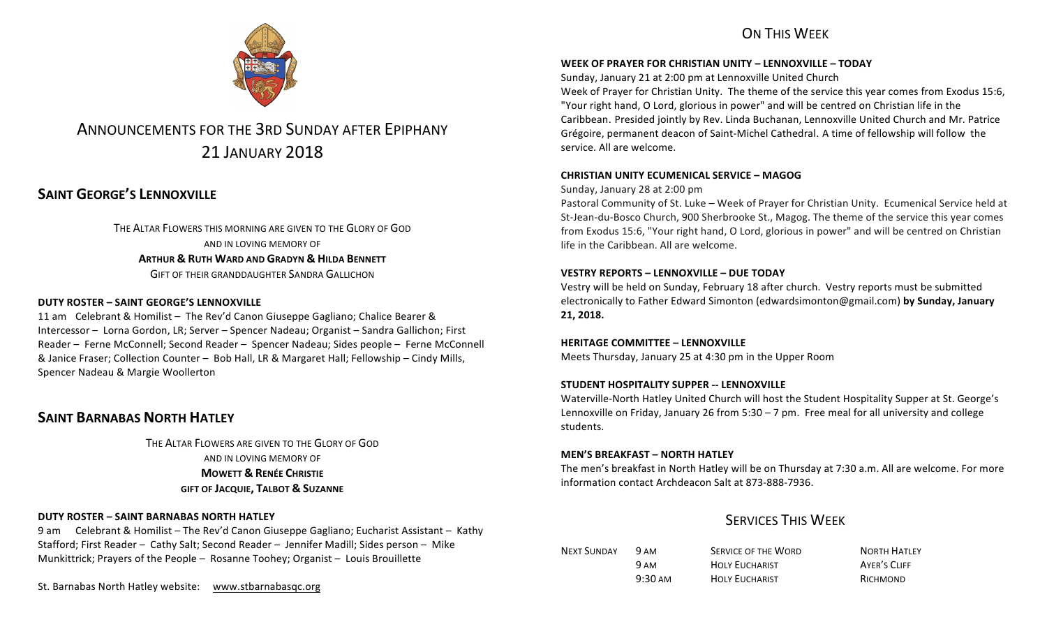# ON THIS WFFK



# ANNOUNCEMENTS FOR THE 3RD SUNDAY AFTER EPIPHANY 21 JANUARY 2018

# **SAINT GEORGE'S LENNOXVILLE**

THE ALTAR FLOWERS THIS MORNING ARE GIVEN TO THE GLORY OF GOD AND IN LOVING MEMORY OF **ARTHUR & RUTH WARD AND GRADYN & HILDA BENNETT** GIFT OF THEIR GRANDDAUGHTER SANDRA GALLICHON

## **DUTY ROSTER – SAINT GEORGE'S LENNOXVILLE**

11 am Celebrant & Homilist – The Rev'd Canon Giuseppe Gagliano; Chalice Bearer & Intercessor – Lorna Gordon, LR; Server – Spencer Nadeau; Organist – Sandra Gallichon; First Reader – Ferne McConnell; Second Reader – Spencer Nadeau; Sides people – Ferne McConnell & Janice Fraser; Collection Counter - Bob Hall, LR & Margaret Hall; Fellowship - Cindy Mills, Spencer Nadeau & Margie Woollerton

## **SAINT BARNABAS NORTH HATLEY**

THE ALTAR FLOWERS ARE GIVEN TO THE GLORY OF GOD AND IN LOVING MEMORY OF **MOWETT & RENÉE CHRISTIE GIFT OF JACQUIE, TALBOT & SUZANNE**

### **DUTY ROSTER – SAINT BARNABAS NORTH HATLEY**

9 am Celebrant & Homilist – The Rev'd Canon Giuseppe Gagliano; Eucharist Assistant – Kathy Stafford; First Reader – Cathy Salt; Second Reader – Jennifer Madill; Sides person – Mike Munkittrick; Prayers of the People - Rosanne Toohey; Organist - Louis Brouillette

St. Barnabas North Hatley website: www.stbarnabasqc.org

## **WEEK OF PRAYER FOR CHRISTIAN UNITY – LENNOXVILLE – TODAY**

Sunday, January 21 at 2:00 pm at Lennoxville United Church

Week of Prayer for Christian Unity. The theme of the service this year comes from Exodus 15:6, "Your right hand, O Lord, glorious in power" and will be centred on Christian life in the Caribbean. Presided jointly by Rev. Linda Buchanan, Lennoxville United Church and Mr. Patrice Grégoire, permanent deacon of Saint-Michel Cathedral. A time of fellowship will follow the service. All are welcome.

### **CHRISTIAN UNITY ECUMENICAL SERVICE – MAGOG**

Sunday, January 28 at 2:00 pm

Pastoral Community of St. Luke – Week of Prayer for Christian Unity. Ecumenical Service held at St-Jean-du-Bosco Church, 900 Sherbrooke St., Magog. The theme of the service this year comes from Exodus 15:6, "Your right hand, O Lord, glorious in power" and will be centred on Christian life in the Caribbean. All are welcome.

### **VESTRY REPORTS – LENNOXVILLE – DUE TODAY**

Vestry will be held on Sunday, February 18 after church. Vestry reports must be submitted electronically to Father Edward Simonton (edwardsimonton@gmail.com) by Sunday, January **21, 2018.**

#### **HERITAGE COMMITTEE - LENNOXVILLE**

Meets Thursday, January 25 at 4:30 pm in the Upper Room

#### **STUDENT HOSPITALITY SUPPER -- LENNOXVILLE**

Waterville-North Hatley United Church will host the Student Hospitality Supper at St. George's Lennoxville on Friday, January 26 from  $5:30 - 7$  pm. Free meal for all university and college students.

#### **MEN'S BREAKFAST – NORTH HATLEY**

The men's breakfast in North Hatley will be on Thursday at 7:30 a.m. All are welcome. For more information contact Archdeacon Salt at 873-888-7936.

# **SERVICES THIS WEEK**

| <b>NEXT SUNDAY</b> | 9 AM              | SERVICE OF THE WORD   | <b>NORTH HATLEY</b> |
|--------------------|-------------------|-----------------------|---------------------|
|                    | 9 AM              | <b>HOLY EUCHARIST</b> | AYER'S CLIFF        |
|                    | $9:30 \text{ AM}$ | <b>HOLY EUCHARIST</b> | RICHMOND            |